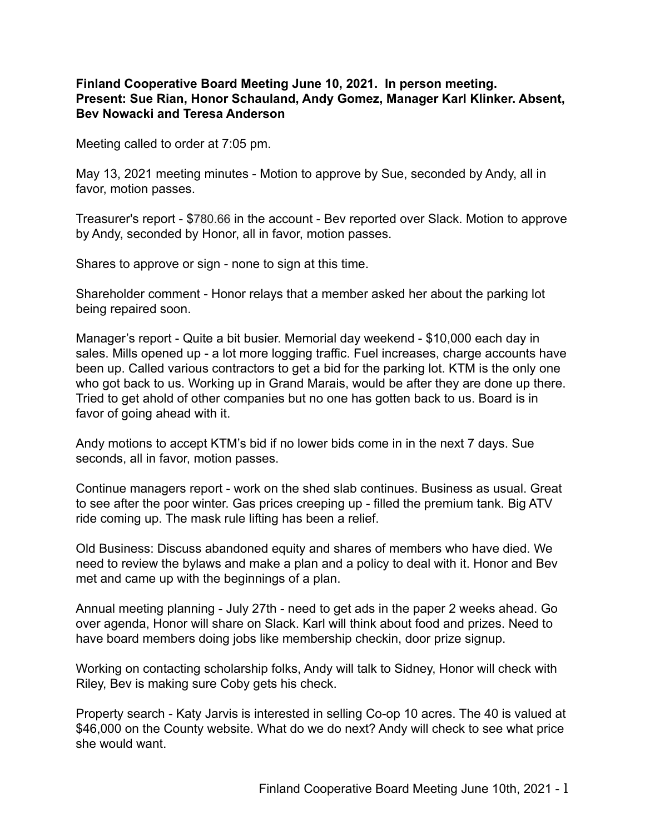## **Finland Cooperative Board Meeting June 10, 2021. In person meeting. Present: Sue Rian, Honor Schauland, Andy Gomez, Manager Karl Klinker. Absent, Bev Nowacki and Teresa Anderson**

Meeting called to order at 7:05 pm.

May 13, 2021 meeting minutes - Motion to approve by Sue, seconded by Andy, all in favor, motion passes.

Treasurer's report - \$780.66 in the account - Bev reported over Slack. Motion to approve by Andy, seconded by Honor, all in favor, motion passes.

Shares to approve or sign - none to sign at this time.

Shareholder comment - Honor relays that a member asked her about the parking lot being repaired soon.

Manager's report - Quite a bit busier. Memorial day weekend - \$10,000 each day in sales. Mills opened up - a lot more logging traffic. Fuel increases, charge accounts have been up. Called various contractors to get a bid for the parking lot. KTM is the only one who got back to us. Working up in Grand Marais, would be after they are done up there. Tried to get ahold of other companies but no one has gotten back to us. Board is in favor of going ahead with it.

Andy motions to accept KTM's bid if no lower bids come in in the next 7 days. Sue seconds, all in favor, motion passes.

Continue managers report - work on the shed slab continues. Business as usual. Great to see after the poor winter. Gas prices creeping up - filled the premium tank. Big ATV ride coming up. The mask rule lifting has been a relief.

Old Business: Discuss abandoned equity and shares of members who have died. We need to review the bylaws and make a plan and a policy to deal with it. Honor and Bev met and came up with the beginnings of a plan.

Annual meeting planning - July 27th - need to get ads in the paper 2 weeks ahead. Go over agenda, Honor will share on Slack. Karl will think about food and prizes. Need to have board members doing jobs like membership checkin, door prize signup.

Working on contacting scholarship folks, Andy will talk to Sidney, Honor will check with Riley, Bev is making sure Coby gets his check.

Property search - Katy Jarvis is interested in selling Co-op 10 acres. The 40 is valued at \$46,000 on the County website. What do we do next? Andy will check to see what price she would want.